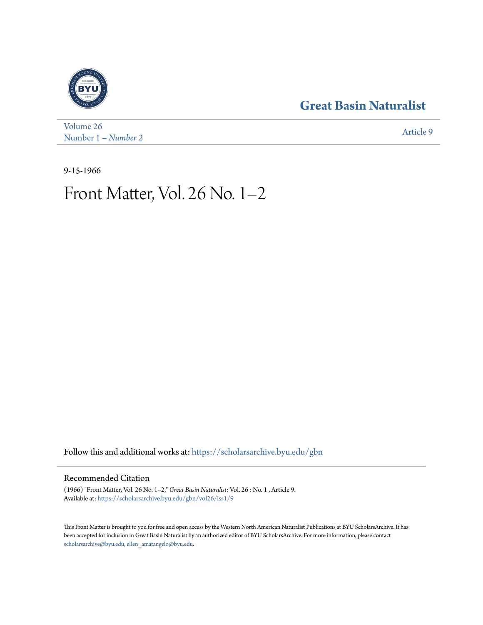#### **[Great Basin Naturalist](https://scholarsarchive.byu.edu/gbn?utm_source=scholarsarchive.byu.edu%2Fgbn%2Fvol26%2Fiss1%2F9&utm_medium=PDF&utm_campaign=PDFCoverPages)**



[Volume 26](https://scholarsarchive.byu.edu/gbn/vol26?utm_source=scholarsarchive.byu.edu%2Fgbn%2Fvol26%2Fiss1%2F9&utm_medium=PDF&utm_campaign=PDFCoverPages) Number 1 *[– Number 2](https://scholarsarchive.byu.edu/gbn/vol26/iss1?utm_source=scholarsarchive.byu.edu%2Fgbn%2Fvol26%2Fiss1%2F9&utm_medium=PDF&utm_campaign=PDFCoverPages)* [Article 9](https://scholarsarchive.byu.edu/gbn/vol26/iss1/9?utm_source=scholarsarchive.byu.edu%2Fgbn%2Fvol26%2Fiss1%2F9&utm_medium=PDF&utm_campaign=PDFCoverPages)

9-15-1966

## Front Matter, Vol. 26 No. 1–2

Follow this and additional works at: [https://scholarsarchive.byu.edu/gbn](https://scholarsarchive.byu.edu/gbn?utm_source=scholarsarchive.byu.edu%2Fgbn%2Fvol26%2Fiss1%2F9&utm_medium=PDF&utm_campaign=PDFCoverPages)

#### Recommended Citation

(1966) "Front Matter, Vol. 26 No. 1–2," *Great Basin Naturalist*: Vol. 26 : No. 1 , Article 9. Available at: [https://scholarsarchive.byu.edu/gbn/vol26/iss1/9](https://scholarsarchive.byu.edu/gbn/vol26/iss1/9?utm_source=scholarsarchive.byu.edu%2Fgbn%2Fvol26%2Fiss1%2F9&utm_medium=PDF&utm_campaign=PDFCoverPages)

This Front Matter is brought to you for free and open access by the Western North American Naturalist Publications at BYU ScholarsArchive. It has been accepted for inclusion in Great Basin Naturalist by an authorized editor of BYU ScholarsArchive. For more information, please contact [scholarsarchive@byu.edu, ellen\\_amatangelo@byu.edu.](mailto:scholarsarchive@byu.edu,%20ellen_amatangelo@byu.edu)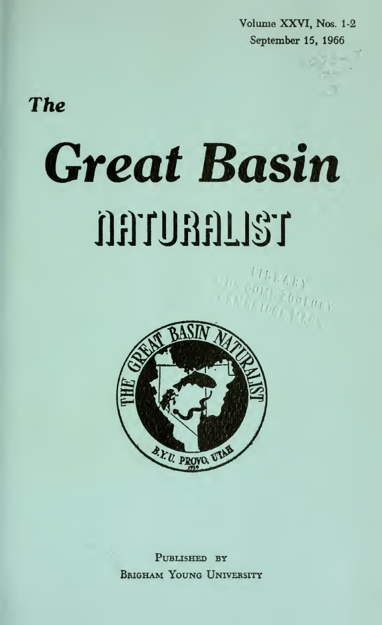Volume XXVI, Nos. 1-2 September 15, 1966

### The

# Great Basin nmmm



PUBLISHED BY Brigham Young University